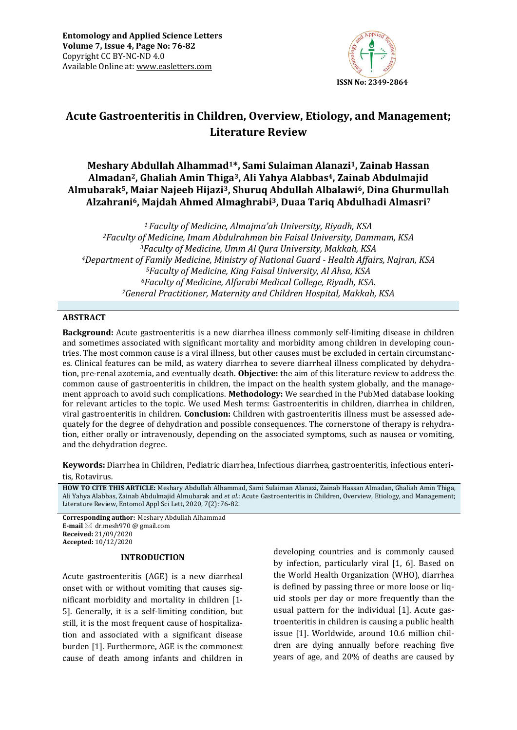

# **Acute Gastroenteritis in Children, Overview, Etiology, and Management; Literature Review**

## **Meshary Abdullah Alhammad1\*, Sami Sulaiman Alanazi1, Zainab Hassan Almadan2, Ghaliah Amin Thiga3, Ali Yahya Alabbas4, Zainab Abdulmajid Almubarak5, Maiar Najeeb Hijazi3, Shuruq Abdullah Albalawi6, Dina Ghurmullah Alzahrani6, Majdah Ahmed Almaghrabi3, Duaa Tariq Abdulhadi Almasri<sup>7</sup>**

*Faculty of Medicine, Almajma'ah University, Riyadh, KSA Faculty of Medicine, Imam Abdulrahman bin Faisal University, Dammam, KSA Faculty of Medicine, Umm Al Qura University, Makkah, KSA Department of Family Medicine, Ministry of National Guard - Health Affairs, Najran, KSA Faculty of Medicine, King Faisal University, Al Ahsa, KSA Faculty of Medicine, Alfarabi Medical College, Riyadh, KSA. General Practitioner, Maternity and Children Hospital, Makkah, KSA* 

## **ABSTRACT**

**Background:** Acute gastroenteritis is a new diarrhea illness commonly self-limiting disease in children and sometimes associated with significant mortality and morbidity among children in developing countries. The most common cause is a viral illness, but other causes must be excluded in certain circumstances. Clinical features can be mild, as watery diarrhea to severe diarrheal illness complicated by dehydration, pre-renal azotemia, and eventually death. **Objective:** the aim of this literature review to address the common cause of gastroenteritis in children, the impact on the health system globally, and the management approach to avoid such complications. **Methodology:** We searched in the PubMed database looking for relevant articles to the topic. We used Mesh terms: Gastroenteritis in children, diarrhea in children, viral gastroenteritis in children. **Conclusion:** Children with gastroenteritis illness must be assessed adequately for the degree of dehydration and possible consequences. The cornerstone of therapy is rehydration, either orally or intravenously, depending on the associated symptoms, such as nausea or vomiting, and the dehydration degree.

**Keywords:** Diarrhea in Children, Pediatric diarrhea, Infectious diarrhea, gastroenteritis, infectious enteritis, Rotavirus*.*

**HOW TO CITE THIS ARTICLE:** Meshary Abdullah Alhammad, Sami Sulaiman Alanazi, Zainab Hassan Almadan, Ghaliah Amin Thiga, Ali Yahya Alabbas, Zainab Abdulmajid Almubarak and *et al.*: Acute Gastroenteritis in Children, Overview, Etiology, and Management; Literature Review, Entomol Appl Sci Lett, 2020, 7(2): 76-82.

**Corresponding author:** Meshary Abdullah Alhammad **E-mail**  $\boxtimes$  dr.mesh970 @ gmail.com **Received:** 21/09/2020 **Accepted:** 10/12/2020

#### **INTRODUCTION**

Acute gastroenteritis (AGE) is a new diarrheal onset with or without vomiting that causes significant morbidity and mortality in children [1- 5]. Generally, it is a self-limiting condition, but still, it is the most frequent cause of hospitalization and associated with a significant disease burden [1]. Furthermore, AGE is the commonest cause of death among infants and children in

developing countries and is commonly caused by infection, particularly viral [1, 6]. Based on the World Health Organization (WHO), diarrhea is defined by passing three or more loose or liquid stools per day or more frequently than the usual pattern for the individual [1]. Acute gastroenteritis in children is causing a public health issue [1]. Worldwide, around 10.6 million children are dying annually before reaching five years of age, and 20% of deaths are caused by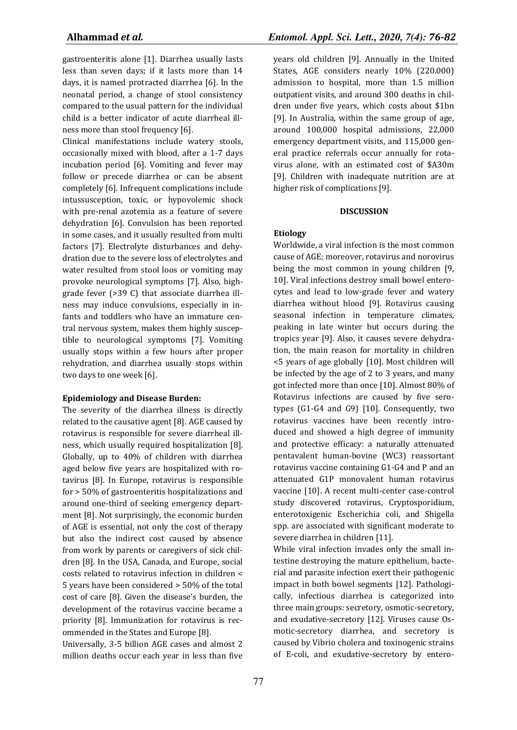gastroenteritis alone [1]. Diarrhea usually lasts less than seven days; if it lasts more than 14 days, it is named protracted diarrhea [6]. In the neonatal period, a change of stool consistency compared to the usual pattern for the individual child is a better indicator of acute diarrheal illness more than stool frequency [6].

Clinical manifestations include watery stools, occasionally mixed with blood, after a 1-7 days incubation period [6]. Vomiting and fever may follow or precede diarrhea or can be absent completely [6]. Infrequent complications include intussusception, toxic, or hypovolemic shock with pre-renal azotemia as a feature of severe dehydration [6]. Convulsion has been reported in some cases, and it usually resulted from multi factors [7]. Electrolyte disturbances and dehydration due to the severe loss of electrolytes and water resulted from stool loos or vomiting may provoke neurological symptoms [7]. Also, highgrade fever (>39 C) that associate diarrhea illness may induce convulsions, especially in infants and toddlers who have an immature central nervous system, makes them highly susceptible to neurological symptoms [7]. Vomiting usually stops within a few hours after proper rehydration, and diarrhea usually stops within two days to one week [6].

#### **Epidemiology and Disease Burden:**

The severity of the diarrhea illness is directly related to the causative agent [8]. AGE caused by rotavirus is responsible for severe diarrheal illness, which usually required hospitalization [8]. Globally, up to 40% of children with diarrhea aged below five years are hospitalized with rotavirus [8]. In Europe, rotavirus is responsible for > 50% of gastroenteritis hospitalizations and around one-third of seeking emergency department [8]. Not surprisingly, the economic burden of AGE is essential, not only the cost of therapy but also the indirect cost caused by absence from work by parents or caregivers of sick children [8]. In the USA, Canada, and Europe, social costs related to rotavirus infection in children < 5 years have been considered > 50% of the total cost of care [8]. Given the disease's burden, the development of the rotavirus vaccine became a priority [8]. Immunization for rotavirus is recommended in the States and Europe [8].

Universally, 3-5 billion AGE cases and almost 2 million deaths occur each year in less than five years old children [9]. Annually in the United States, AGE considers nearly 10% (220.000) admission to hospital, more than 1.5 million outpatient visits, and around 300 deaths in children under five years, which costs about \$1bn [9]. In Australia, within the same group of age, around 100,000 hospital admissions, 22,000 emergency department visits, and 115,000 general practice referrals occur annually for rotavirus alone, with an estimated cost of \$A30m [9]. Children with inadequate nutrition are at higher risk of complications [9].

#### **DISCUSSION**

#### **Etiology**

Worldwide, a viral infection is the most common cause of AGE; moreover, rotavirus and norovirus being the most common in young children [9, 10]. Viral infections destroy small bowel enterocytes and lead to low-grade fever and watery diarrhea without blood [9]. Rotavirus causing seasonal infection in temperature climates, peaking in late winter but occurs during the tropics year [9]. Also, it causes severe dehydration, the main reason for mortality in children <5 years of age globally [10]. Most children will be infected by the age of 2 to 3 years, and many got infected more than once [10]. Almost 80% of Rotavirus infections are caused by five serotypes (G1-G4 and G9) [10]. Consequently, two rotavirus vaccines have been recently introduced and showed a high degree of immunity and protective efficacy: a naturally attenuated pentavalent human-bovine (WC3) reassortant rotavirus vaccine containing G1-G4 and P and an attenuated G1P monovalent human rotavirus vaccine [10]. A recent multi-center case-control study discovered rotavirus, Cryptosporidium, enterotoxigenic Escherichia coli, and Shigella spp. are associated with significant moderate to severe diarrhea in children [11].

While viral infection invades only the small intestine destroying the mature epithelium, bacterial and parasite infection exert their pathogenic impact in both bowel segments [12]. Pathologically, infectious diarrhea is categorized into three main groups: secretory, osmotic-secretory, and exudative-secretory [12]. Viruses cause Osmotic-secretory diarrhea, and secretory is caused by Vibrio cholera and toxinogenic strains of E-coli, and exudative-secretory by entero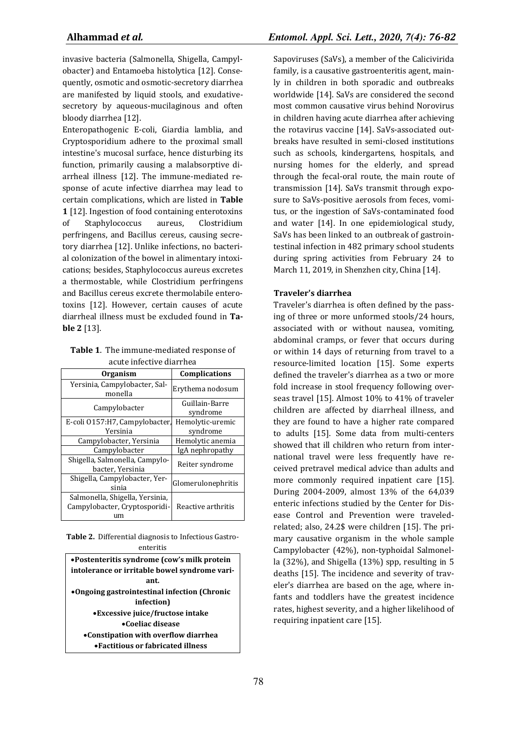invasive bacteria (Salmonella, Shigella, Campylobacter) and Entamoeba histolytica [12]. Consequently, osmotic and osmotic-secretory diarrhea are manifested by liquid stools, and exudativesecretory by aqueous-mucilaginous and often bloody diarrhea [12].

Enteropathogenic E-coli, Giardia lamblia, and Cryptosporidium adhere to the proximal small intestine's mucosal surface, hence disturbing its function, primarily causing a malabsorptive diarrheal illness [12]. The immune-mediated response of acute infective diarrhea may lead to certain complications, which are listed in **Table 1** [12]. Ingestion of food containing enterotoxins of Staphylococcus aureus, Clostridium perfringens, and Bacillus cereus, causing secretory diarrhea [12]. Unlike infections, no bacterial colonization of the bowel in alimentary intoxications; besides, Staphylococcus aureus excretes a thermostable, while Clostridium perfringens and Bacillus cereus excrete thermolabile enterotoxins [12]. However, certain causes of acute diarrheal illness must be excluded found in **Table 2** [13].

**Table 1**. The immune-mediated response of acute infective diarrhea

| <b>Organism</b>                                                  | <b>Complications</b>       |  |
|------------------------------------------------------------------|----------------------------|--|
| Yersinia, Campylobacter, Sal-<br>monella                         | Erythema nodosum           |  |
| Campylobacter                                                    | Guillain-Barre<br>syndrome |  |
| E-coli 0157:H7, Campylobacter,                                   | Hemolytic-uremic           |  |
| Yersinia                                                         | syndrome                   |  |
| Campylobacter, Yersinia                                          | Hemolytic anemia           |  |
| Campylobacter                                                    | IgA nephropathy            |  |
| Shigella, Salmonella, Campylo-<br>bacter, Yersinia               | Reiter syndrome            |  |
| Shigella, Campylobacter, Yer-<br>sinia                           | Glomerulonephritis         |  |
| Salmonella, Shigella, Yersinia,<br>Campylobacter, Cryptosporidi- | Reactive arthritis         |  |
| um                                                               |                            |  |

**Table 2.** Differential diagnosis to Infectious Gastroenteritis

| • Postenteritis syndrome (cow's milk protein  |  |
|-----------------------------------------------|--|
| intolerance or irritable bowel syndrome vari- |  |
| ant.                                          |  |
| •Ongoing gastrointestinal infection (Chronic  |  |
| infection)                                    |  |
| • Excessive juice/fructose intake             |  |
| $\bullet$ Coeliac disease                     |  |
| •Constipation with overflow diarrhea          |  |
| • Factitious or fabricated illness            |  |

Sapoviruses (SaVs), a member of the Calicivirida family, is a causative gastroenteritis agent, mainly in children in both sporadic and outbreaks worldwide [14]. SaVs are considered the second most common causative virus behind Norovirus in children having acute diarrhea after achieving the rotavirus vaccine [14]. SaVs-associated outbreaks have resulted in semi-closed institutions such as schools, kindergartens, hospitals, and nursing homes for the elderly, and spread through the fecal-oral route, the main route of transmission [14]. SaVs transmit through exposure to SaVs-positive aerosols from feces, vomitus, or the ingestion of SaVs-contaminated food and water [14]. In one epidemiological study, SaVs has been linked to an outbreak of gastrointestinal infection in 482 primary school students during spring activities from February 24 to March 11, 2019, in Shenzhen city, China [14].

## **Traveler's diarrhea**

Traveler's diarrhea is often defined by the passing of three or more unformed stools/24 hours, associated with or without nausea, vomiting, abdominal cramps, or fever that occurs during or within 14 days of returning from travel to a resource-limited location [15]. Some experts defined the traveler's diarrhea as a two or more fold increase in stool frequency following overseas travel [15]. Almost 10% to 41% of traveler children are affected by diarrheal illness, and they are found to have a higher rate compared to adults [15]. Some data from multi-centers showed that ill children who return from international travel were less frequently have received pretravel medical advice than adults and more commonly required inpatient care [15]. During 2004-2009, almost 13% of the 64,039 enteric infections studied by the Center for Disease Control and Prevention were traveledrelated; also, 24.2\$ were children [15]. The primary causative organism in the whole sample Campylobacter (42%), non-typhoidal Salmonella (32%), and Shigella (13%) spp, resulting in 5 deaths [15]. The incidence and severity of traveler's diarrhea are based on the age, where infants and toddlers have the greatest incidence rates, highest severity, and a higher likelihood of requiring inpatient care [15].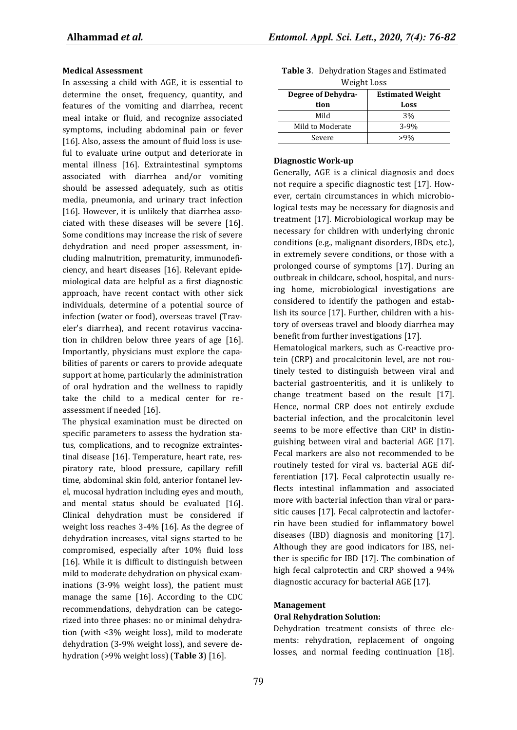#### **Medical Assessment**

In assessing a child with AGE, it is essential to determine the onset, frequency, quantity, and features of the vomiting and diarrhea, recent meal intake or fluid, and recognize associated symptoms, including abdominal pain or fever [16]. Also, assess the amount of fluid loss is useful to evaluate urine output and deteriorate in mental illness [16]. Extraintestinal symptoms associated with diarrhea and/or vomiting should be assessed adequately, such as otitis media, pneumonia, and urinary tract infection [16]. However, it is unlikely that diarrhea associated with these diseases will be severe [16]. Some conditions may increase the risk of severe dehydration and need proper assessment, including malnutrition, prematurity, immunodeficiency, and heart diseases [16]. Relevant epidemiological data are helpful as a first diagnostic approach, have recent contact with other sick individuals, determine of a potential source of infection (water or food), overseas travel (Traveler's diarrhea), and recent rotavirus vaccination in children below three years of age [16]. Importantly, physicians must explore the capabilities of parents or carers to provide adequate support at home, particularly the administration of oral hydration and the wellness to rapidly take the child to a medical center for reassessment if needed [16].

The physical examination must be directed on specific parameters to assess the hydration status, complications, and to recognize extraintestinal disease [16]. Temperature, heart rate, respiratory rate, blood pressure, capillary refill time, abdominal skin fold, anterior fontanel level, mucosal hydration including eyes and mouth, and mental status should be evaluated [16]. Clinical dehydration must be considered if weight loss reaches 3-4% [16]. As the degree of dehydration increases, vital signs started to be compromised, especially after 10% fluid loss [16]. While it is difficult to distinguish between mild to moderate dehydration on physical examinations (3-9% weight loss), the patient must manage the same [16]. According to the CDC recommendations, dehydration can be categorized into three phases: no or minimal dehydration (with <3% weight loss), mild to moderate dehydration (3-9% weight loss), and severe dehydration (>9% weight loss) (**Table 3**) [16].

| Weight Loss        |                         |  |
|--------------------|-------------------------|--|
| Degree of Dehydra- | <b>Estimated Weight</b> |  |
| tion               | Loss                    |  |
| Mild               | 3%                      |  |
| Mild to Moderate   | ;-99                    |  |

Severe >9%

**Table 3**. Dehydration Stages and Estimated

#### **Diagnostic Work-up**

Generally, AGE is a clinical diagnosis and does not require a specific diagnostic test [17]. However, certain circumstances in which microbiological tests may be necessary for diagnosis and treatment [17]. Microbiological workup may be necessary for children with underlying chronic conditions (e.g., malignant disorders, IBDs, etc.), in extremely severe conditions, or those with a prolonged course of symptoms [17]. During an outbreak in childcare, school, hospital, and nursing home, microbiological investigations are considered to identify the pathogen and establish its source [17]. Further, children with a history of overseas travel and bloody diarrhea may benefit from further investigations [17].

Hematological markers, such as C-reactive protein (CRP) and procalcitonin level, are not routinely tested to distinguish between viral and bacterial gastroenteritis, and it is unlikely to change treatment based on the result [17]. Hence, normal CRP does not entirely exclude bacterial infection, and the procalcitonin level seems to be more effective than CRP in distinguishing between viral and bacterial AGE [17]. Fecal markers are also not recommended to be routinely tested for viral vs. bacterial AGE differentiation [17]. Fecal calprotectin usually reflects intestinal inflammation and associated more with bacterial infection than viral or parasitic causes [17]. Fecal calprotectin and lactoferrin have been studied for inflammatory bowel diseases (IBD) diagnosis and monitoring [17]. Although they are good indicators for IBS, neither is specific for IBD [17]. The combination of high fecal calprotectin and CRP showed a 94% diagnostic accuracy for bacterial AGE [17].

#### **Management**

#### **Oral Rehydration Solution:**

Dehydration treatment consists of three elements: rehydration, replacement of ongoing losses, and normal feeding continuation [18].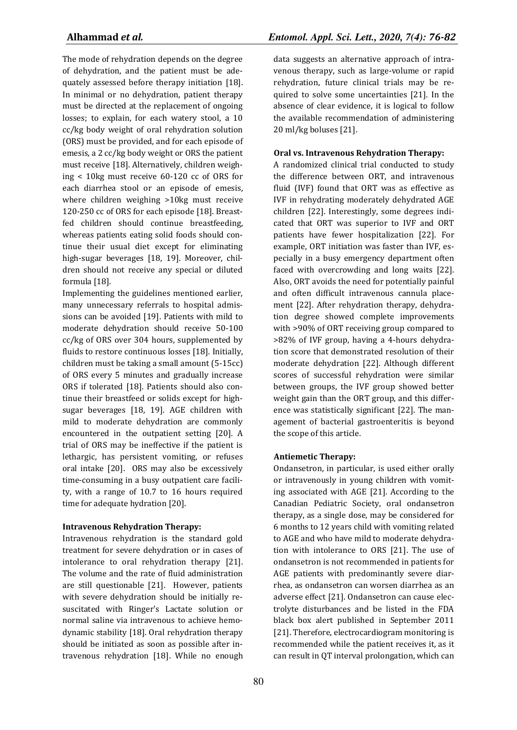The mode of rehydration depends on the degree of dehydration, and the patient must be adequately assessed before therapy initiation [18]. In minimal or no dehydration, patient therapy must be directed at the replacement of ongoing losses; to explain, for each watery stool, a 10 cc/kg body weight of oral rehydration solution (ORS) must be provided, and for each episode of emesis, a 2 cc/kg body weight or ORS the patient must receive [18]. Alternatively, children weighing < 10kg must receive 60-120 cc of ORS for each diarrhea stool or an episode of emesis, where children weighing >10kg must receive 120-250 cc of ORS for each episode [18]. Breastfed children should continue breastfeeding, whereas patients eating solid foods should continue their usual diet except for eliminating high-sugar beverages [18, 19]. Moreover, children should not receive any special or diluted formula [18].

Implementing the guidelines mentioned earlier, many unnecessary referrals to hospital admissions can be avoided [19]. Patients with mild to moderate dehydration should receive 50-100 cc/kg of ORS over 304 hours, supplemented by fluids to restore continuous losses [18]. Initially, children must be taking a small amount (5-15cc) of ORS every 5 minutes and gradually increase ORS if tolerated [18]. Patients should also continue their breastfeed or solids except for highsugar beverages [18, 19]. AGE children with mild to moderate dehydration are commonly encountered in the outpatient setting [20]. A trial of ORS may be ineffective if the patient is lethargic, has persistent vomiting, or refuses oral intake [20]. ORS may also be excessively time-consuming in a busy outpatient care facility, with a range of 10.7 to 16 hours required time for adequate hydration [20].

## **Intravenous Rehydration Therapy:**

Intravenous rehydration is the standard gold treatment for severe dehydration or in cases of intolerance to oral rehydration therapy [21]. The volume and the rate of fluid administration are still questionable [21]. However, patients with severe dehydration should be initially resuscitated with Ringer's Lactate solution or normal saline via intravenous to achieve hemodynamic stability [18]. Oral rehydration therapy should be initiated as soon as possible after intravenous rehydration [18]. While no enough

data suggests an alternative approach of intravenous therapy, such as large-volume or rapid rehydration, future clinical trials may be required to solve some uncertainties [21]. In the absence of clear evidence, it is logical to follow the available recommendation of administering 20 ml/kg boluses [21].

## **Oral vs. Intravenous Rehydration Therapy:**

A randomized clinical trial conducted to study the difference between ORT, and intravenous fluid (IVF) found that ORT was as effective as IVF in rehydrating moderately dehydrated AGE children [22]. Interestingly, some degrees indicated that ORT was superior to IVF and ORT patients have fewer hospitalization [22]. For example, ORT initiation was faster than IVF, especially in a busy emergency department often faced with overcrowding and long waits [22]. Also, ORT avoids the need for potentially painful and often difficult intravenous cannula placement [22]. After rehydration therapy, dehydration degree showed complete improvements with >90% of ORT receiving group compared to >82% of IVF group, having a 4-hours dehydration score that demonstrated resolution of their moderate dehydration [22]. Although different scores of successful rehydration were similar between groups, the IVF group showed better weight gain than the ORT group, and this difference was statistically significant [22]. The management of bacterial gastroenteritis is beyond the scope of this article.

## **Antiemetic Therapy:**

Ondansetron, in particular, is used either orally or intravenously in young children with vomiting associated with AGE [21]. According to the Canadian Pediatric Society, oral ondansetron therapy, as a single dose, may be considered for 6 months to 12 years child with vomiting related to AGE and who have mild to moderate dehydration with intolerance to ORS [21]. The use of ondansetron is not recommended in patients for AGE patients with predominantly severe diarrhea, as ondansetron can worsen diarrhea as an adverse effect [21]. Ondansetron can cause electrolyte disturbances and be listed in the FDA black box alert published in September 2011 [21]. Therefore, electrocardiogram monitoring is recommended while the patient receives it, as it can result in QT interval prolongation, which can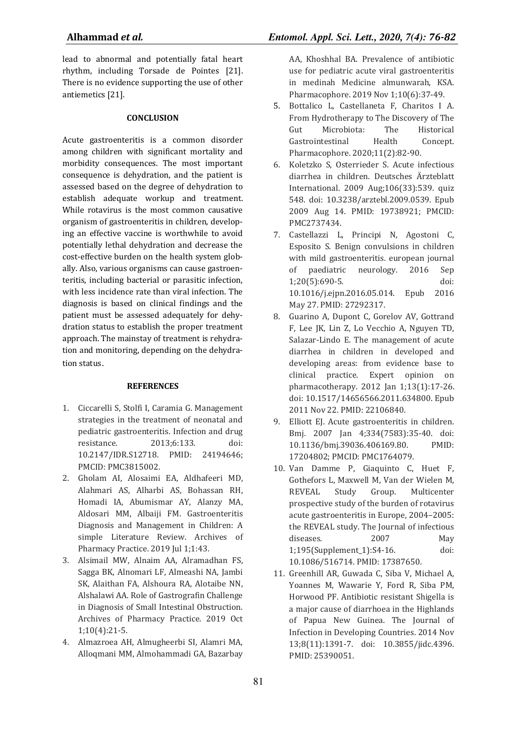lead to abnormal and potentially fatal heart rhythm, including Torsade de Pointes [21]. There is no evidence supporting the use of other antiemetics [21].

## **CONCLUSION**

Acute gastroenteritis is a common disorder among children with significant mortality and morbidity consequences. The most important consequence is dehydration, and the patient is assessed based on the degree of dehydration to establish adequate workup and treatment. While rotavirus is the most common causative organism of gastroenteritis in children, developing an effective vaccine is worthwhile to avoid potentially lethal dehydration and decrease the cost-effective burden on the health system globally. Also, various organisms can cause gastroenteritis, including bacterial or parasitic infection, with less incidence rate than viral infection. The diagnosis is based on clinical findings and the patient must be assessed adequately for dehydration status to establish the proper treatment approach. The mainstay of treatment is rehydration and monitoring, depending on the dehydration status.

## **REFERENCES**

- 1. Ciccarelli S, Stolfi I, Caramia G. Management strategies in the treatment of neonatal and pediatric gastroenteritis. Infection and drug resistance. 2013;6:133. doi: 10.2147/IDR.S12718. PMID: 24194646; PMCID: PMC3815002.
- 2. Gholam AI, Alosaimi EA, Aldhafeeri MD, Alahmari AS, Alharbi AS, Bohassan RH, Homadi IA, Abumismar AY, Alanzy MA, Aldosari MM, Albaiji FM. Gastroenteritis Diagnosis and Management in Children: A simple Literature Review. Archives of Pharmacy Practice. 2019 Jul 1;1:43.
- 3. Alsimail MW, Alnaim AA, Alramadhan FS, Sagga BK, Alnomari LF, Almeashi NA, Jambi SK, Alaithan FA, Alshoura RA, Alotaibe NN, Alshalawi AA. Role of Gastrografin Challenge in Diagnosis of Small Intestinal Obstruction. Archives of Pharmacy Practice. 2019 Oct 1;10(4):21-5.
- 4. Almazroea AH, Almugheerbi SI, Alamri MA, Alloqmani MM, Almohammadi GA, Bazarbay

AA, Khoshhal BA. Prevalence of antibiotic use for pediatric acute viral gastroenteritis in medinah Medicine almunwarah, KSA. Pharmacophore. 2019 Nov 1;10(6):37-49.

- 5. Bottalico L, Castellaneta F, Charitos I A. From Hydrotherapy to The Discovery of The Gut Microbiota: The Historical Gastrointestinal Health Concept. Pharmacophore. 2020;11(2):82-90.
- 6. Koletzko S, Osterrieder S. Acute infectious diarrhea in children. Deutsches Ärzteblatt International. 2009 Aug;106(33):539. quiz 548. doi: 10.3238/arztebl.2009.0539. Epub 2009 Aug 14. PMID: 19738921; PMCID: PMC2737434.
- 7. Castellazzi L, Principi N, Agostoni C, Esposito S. Benign convulsions in children with mild gastroenteritis. european journal of paediatric neurology. 2016 Sep 1;20(5):690-5. doi: 10.1016/j.ejpn.2016.05.014. Epub 2016 May 27. PMID: 27292317.
- 8. Guarino A, Dupont C, Gorelov AV, Gottrand F, Lee JK, Lin Z, Lo Vecchio A, Nguyen TD, Salazar-Lindo E. The management of acute diarrhea in children in developed and developing areas: from evidence base to clinical practice. Expert opinion on pharmacotherapy. 2012 Jan 1;13(1):17-26. doi: 10.1517/14656566.2011.634800. Epub 2011 Nov 22. PMID: 22106840.
- 9. Elliott EJ. Acute gastroenteritis in children. Bmj. 2007 Jan 4;334(7583):35-40. doi: 10.1136/bmj.39036.406169.80. PMID: 17204802; PMCID: PMC1764079.
- 10. Van Damme P, Giaquinto C, Huet F, Gothefors L, Maxwell M, Van der Wielen M, REVEAL Study Group. Multicenter prospective study of the burden of rotavirus acute gastroenteritis in Europe, 2004–2005: the REVEAL study. The Journal of infectious diseases. 2007 May 1;195(Supplement\_1):S4-16. doi: 10.1086/516714. PMID: 17387650.
- 11. Greenhill AR, Guwada C, Siba V, Michael A, Yoannes M, Wawarie Y, Ford R, Siba PM, Horwood PF. Antibiotic resistant Shigella is a major cause of diarrhoea in the Highlands of Papua New Guinea. The Journal of Infection in Developing Countries. 2014 Nov 13;8(11):1391-7. doi: 10.3855/jidc.4396. PMID: 25390051.